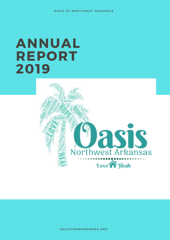# ANNUAL REPORT 2019

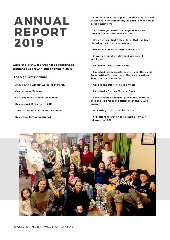# ANNUAL REPORT 2019

#### Oasis of Northwest Arkansas experienced tremendous growth and change in 2019

The highlights include:

- -- An Executive Director was hired in March
- -- Onsite House Manager
- -- Oasis expanded to serve 20 women
- -- Oasis served 58 women in 2019
- -- The Oasis Board of Directors expanded
- -- Oasis website was redesigned

-- Conducted 144 "touch points" with women in need of services in the community via email, phone and inperson interviews.

-- 9 women graduated the program and have remained sober, productive citizens

-- 6 women reunified with children that had been placed in the foster care system

-- 9 women purchased their own vehicles

-- 31 women found employment and are still employed

-- Launched Oasis Alumni Group

-- Launched two successful events: Meet Oasis and Purses with a Purpose that collectively raised over \$9,000 with 102 attendees

- -- Utilized the efforts of 83 volunteers
- -- Launched a Clothes Closet at Oasis

-- Life Academy Launched - providing 12 hours of college credit for each participant in the 10 week program

- -- Processing Group Launched at Oasis
- -- Significant growth on social media from 537 followers to 1,820.